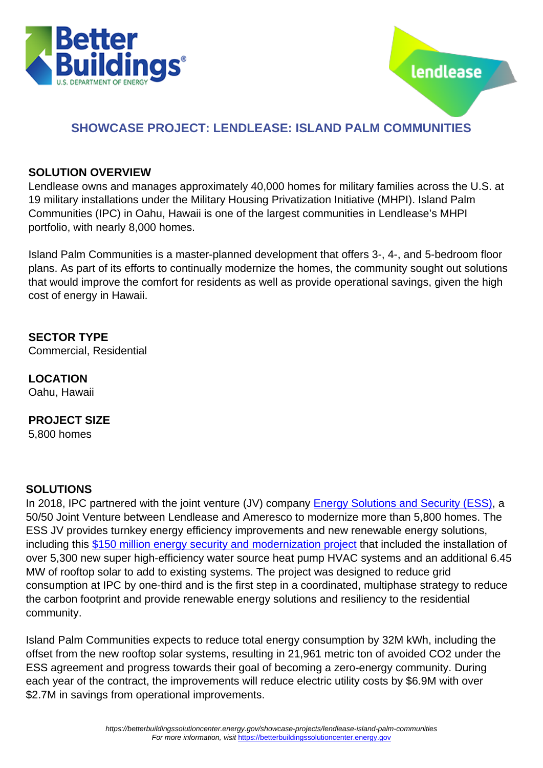



# **SHOWCASE PROJECT: LENDLEASE: ISLAND PALM COMMUNITIES**

## **SOLUTION OVERVIEW**

Lendlease owns and manages approximately 40,000 homes for military families across the U.S. at 19 military installations under the Military Housing Privatization Initiative (MHPI). Island Palm Communities (IPC) in Oahu, Hawaii is one of the largest communities in Lendlease's MHPI portfolio, with nearly 8,000 homes.

Island Palm Communities is a master-planned development that offers 3-, 4-, and 5-bedroom floor plans. As part of its efforts to continually modernize the homes, the community sought out solutions that would improve the comfort for residents as well as provide operational savings, given the high cost of energy in Hawaii.

**SECTOR TYPE** Commercial, Residential

**LOCATION** Oahu, Hawaii

### **PROJECT SIZE**

5,800 homes

# **SOLUTIONS**

In 2018, IPC partnered with the joint venture (JV) company [Energy Solutions and Security \(ESS\),](https://www.ameresco.com/lendlease-and-ameresco-partner-on-150-million-energy-security-modernization-project/) a 50/50 Joint Venture between Lendlease and Ameresco to modernize more than 5,800 homes. The ESS JV provides turnkey energy efficiency improvements and new renewable energy solutions, including this [\\$150 million energy security and modernization project](http://www.ameresco.com/wp-content/uploads/2018/06/Ameresco_Lendlease-Press-Release-for-IPC-ESS-Final-6-27-18.pdf) that included the installation of over 5,300 new super high-efficiency water source heat pump HVAC systems and an additional 6.45 MW of rooftop solar to add to existing systems. The project was designed to reduce grid consumption at IPC by one-third and is the first step in a coordinated, multiphase strategy to reduce the carbon footprint and provide renewable energy solutions and resiliency to the residential community.

Island Palm Communities expects to reduce total energy consumption by 32M kWh, including the offset from the new rooftop solar systems, resulting in 21,961 metric ton of avoided CO2 under the ESS agreement and progress towards their goal of becoming a zero-energy community. During each year of the contract, the improvements will reduce electric utility costs by \$6.9M with over \$2.7M in savings from operational improvements.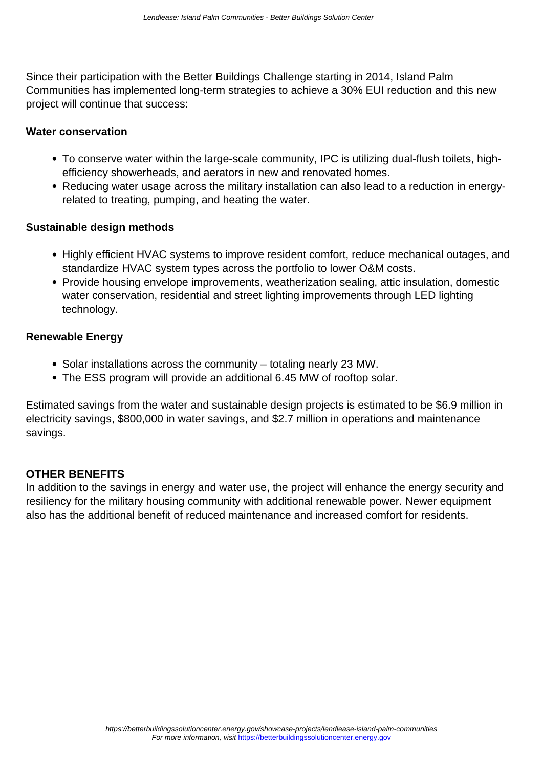Since their participation with the Better Buildings Challenge starting in 2014, Island Palm Communities has implemented long-term strategies to achieve a 30% EUI reduction and this new project will continue that success:

#### **Water conservation**

- To conserve water within the large-scale community, IPC is utilizing dual-flush toilets, highefficiency showerheads, and aerators in new and renovated homes.
- Reducing water usage across the military installation can also lead to a reduction in energyrelated to treating, pumping, and heating the water.

#### **Sustainable design methods**

- Highly efficient HVAC systems to improve resident comfort, reduce mechanical outages, and standardize HVAC system types across the portfolio to lower O&M costs.
- Provide housing envelope improvements, weatherization sealing, attic insulation, domestic water conservation, residential and street lighting improvements through LED lighting technology.

### **Renewable Energy**

- Solar installations across the community totaling nearly 23 MW.
- The ESS program will provide an additional 6.45 MW of rooftop solar.

Estimated savings from the water and sustainable design projects is estimated to be \$6.9 million in electricity savings, \$800,000 in water savings, and \$2.7 million in operations and maintenance savings.

### **OTHER BENEFITS**

In addition to the savings in energy and water use, the project will enhance the energy security and resiliency for the military housing community with additional renewable power. Newer equipment also has the additional benefit of reduced maintenance and increased comfort for residents.